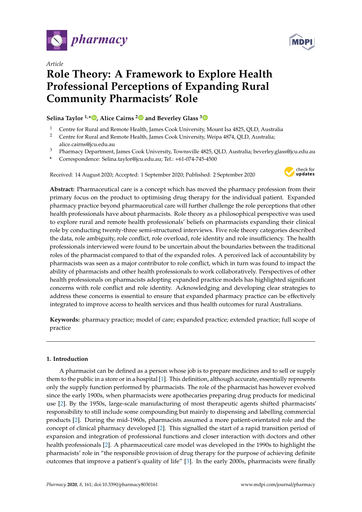





# **Role Theory: A Framework to Explore Health Professional Perceptions of Expanding Rural Community Pharmacists' Role**

# **Selina Taylor 1,[\\*](https://orcid.org/0000-0002-3230-889X) , Alice Cairns [2](https://orcid.org/0000-0002-3943-1444) and Beverley Glass [3](https://orcid.org/0000-0002-5444-3312)**

- <sup>1</sup> Centre for Rural and Remote Health, James Cook University, Mount Isa 4825, QLD, Australia
- <sup>2</sup> Centre for Rural and Remote Health, James Cook University, Weipa 4874, QLD, Australia; alice.cairns@jcu.edu.au
- <sup>3</sup> Pharmacy Department, James Cook University, Townsville 4825, QLD, Australia; beverley.glass@jcu.edu.au
- **\*** Correspondence: Selina.taylor@jcu.edu.au; Tel.: +61-074-745-4500

Received: 14 August 2020; Accepted: 1 September 2020; Published: 2 September 2020



**Abstract:** Pharmaceutical care is a concept which has moved the pharmacy profession from their primary focus on the product to optimising drug therapy for the individual patient. Expanded pharmacy practice beyond pharmaceutical care will further challenge the role perceptions that other health professionals have about pharmacists. Role theory as a philosophical perspective was used to explore rural and remote health professionals' beliefs on pharmacists expanding their clinical role by conducting twenty-three semi-structured interviews. Five role theory categories described the data, role ambiguity, role conflict, role overload, role identity and role insufficiency. The health professionals interviewed were found to be uncertain about the boundaries between the traditional roles of the pharmacist compared to that of the expanded roles. A perceived lack of accountability by pharmacists was seen as a major contributor to role conflict, which in turn was found to impact the ability of pharmacists and other health professionals to work collaboratively. Perspectives of other health professionals on pharmacists adopting expanded practice models has highlighted significant concerns with role conflict and role identity. Acknowledging and developing clear strategies to address these concerns is essential to ensure that expanded pharmacy practice can be effectively integrated to improve access to health services and thus health outcomes for rural Australians.

**Keywords:** pharmacy practice; model of care; expanded practice; extended practice; full scope of practice

# **1. Introduction**

A pharmacist can be defined as a person whose job is to prepare medicines and to sell or supply them to the public in a store or in a hospital [\[1\]](#page-11-0). This definition, although accurate, essentially represents only the supply function performed by pharmacists. The role of the pharmacist has however evolved since the early 1900s, when pharmacists were apothecaries preparing drug products for medicinal use [\[2\]](#page-11-1). By the 1950s, large-scale manufacturing of most therapeutic agents shifted pharmacists' responsibility to still include some compounding but mainly to dispensing and labelling commercial products [\[2\]](#page-11-1). During the mid-1960s, pharmacists assumed a more patient-orientated role and the concept of clinical pharmacy developed [\[2\]](#page-11-1). This signalled the start of a rapid transition period of expansion and integration of professional functions and closer interaction with doctors and other health professionals [\[2\]](#page-11-1). A pharmaceutical care model was developed in the 1990s to highlight the pharmacists' role in "the responsible provision of drug therapy for the purpose of achieving definite outcomes that improve a patient's quality of life" [\[3\]](#page-11-2). In the early 2000s, pharmacists were finally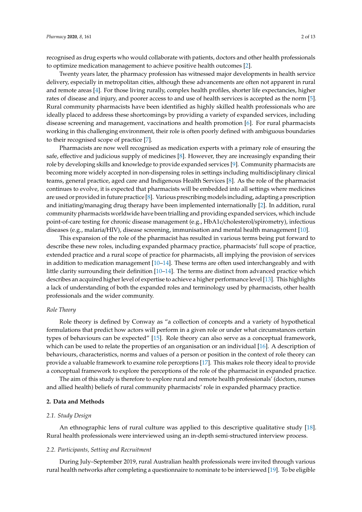recognised as drug experts who would collaborate with patients, doctors and other health professionals to optimize medication management to achieve positive health outcomes [\[2\]](#page-11-1).

Twenty years later, the pharmacy profession has witnessed major developments in health service delivery, especially in metropolitan cities, although these advancements are often not apparent in rural and remote areas [\[4\]](#page-11-3). For those living rurally, complex health profiles, shorter life expectancies, higher rates of disease and injury, and poorer access to and use of health services is accepted as the norm [\[5\]](#page-11-4). Rural community pharmacists have been identified as highly skilled health professionals who are ideally placed to address these shortcomings by providing a variety of expanded services, including disease screening and management, vaccinations and health promotion [\[6\]](#page-11-5). For rural pharmacists working in this challenging environment, their role is often poorly defined with ambiguous boundaries to their recognised scope of practice [\[7\]](#page-11-6).

Pharmacists are now well recognised as medication experts with a primary role of ensuring the safe, effective and judicious supply of medicines [\[8\]](#page-11-7). However, they are increasingly expanding their role by developing skills and knowledge to provide expanded services [\[9\]](#page-11-8). Community pharmacists are becoming more widely accepted in non-dispensing roles in settings including multidisciplinary clinical teams, general practice, aged care and Indigenous Health Services [\[8\]](#page-11-7). As the role of the pharmacist continues to evolve, it is expected that pharmacists will be embedded into all settings where medicines are used or provided in future practice [\[8\]](#page-11-7). Various prescribing models including, adapting a prescription and initiating/managing drug therapy have been implemented internationally [\[2\]](#page-11-1). In addition, rural community pharmacists worldwide have been trialling and providing expanded services, which include point-of-care testing for chronic disease management (e.g., HbA1c/cholesterol/spirometry), infectious diseases (e.g., malaria/HIV), disease screening, immunisation and mental health management [\[10\]](#page-11-9).

This expansion of the role of the pharmacist has resulted in various terms being put forward to describe these new roles, including expanded pharmacy practice, pharmacists' full scope of practice, extended practice and a rural scope of practice for pharmacists, all implying the provision of services in addition to medication management  $[10-14]$  $[10-14]$ . These terms are often used interchangeably and with little clarity surrounding their definition [\[10–](#page-11-9)[14\]](#page-11-10). The terms are distinct from advanced practice which describes an acquired higher level of expertise to achieve a higher performance level [\[13\]](#page-11-11). This highlights a lack of understanding of both the expanded roles and terminology used by pharmacists, other health professionals and the wider community.

#### *Role Theory*

Role theory is defined by Conway as "a collection of concepts and a variety of hypothetical formulations that predict how actors will perform in a given role or under what circumstances certain types of behaviours can be expected" [\[15\]](#page-11-12). Role theory can also serve as a conceptual framework, which can be used to relate the properties of an organisation or an individual [\[16\]](#page-11-13). A description of behaviours, characteristics, norms and values of a person or position in the context of role theory can provide a valuable framework to examine role perceptions [\[17\]](#page-12-0). This makes role theory ideal to provide a conceptual framework to explore the perceptions of the role of the pharmacist in expanded practice.

The aim of this study is therefore to explore rural and remote health professionals' (doctors, nurses and allied health) beliefs of rural community pharmacists' role in expanded pharmacy practice.

#### **2. Data and Methods**

#### *2.1. Study Design*

An ethnographic lens of rural culture was applied to this descriptive qualitative study [\[18\]](#page-12-1). Rural health professionals were interviewed using an in-depth semi-structured interview process.

#### *2.2. Participants, Setting and Recruitment*

During July–September 2019, rural Australian health professionals were invited through various rural health networks after completing a questionnaire to nominate to be interviewed [\[19\]](#page-12-2). To be eligible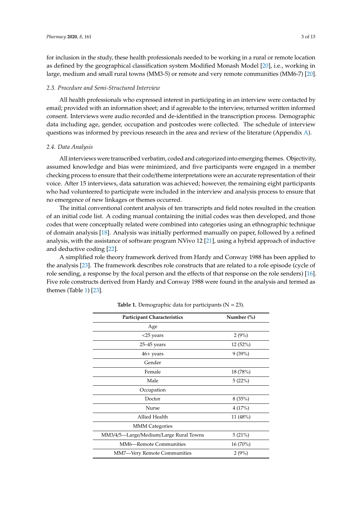for inclusion in the study, these health professionals needed to be working in a rural or remote location as defined by the geographical classification system Modified Monash Model [\[20\]](#page-12-3), i.e., working in large, medium and small rural towns (MM3-5) or remote and very remote communities (MM6-7) [\[20\]](#page-12-3).

#### *2.3. Procedure and Semi-Structured Interview*

All health professionals who expressed interest in participating in an interview were contacted by email; provided with an information sheet; and if agreeable to the interview, returned written informed consent. Interviews were audio recorded and de-identified in the transcription process. Demographic data including age, gender, occupation and postcodes were collected. The schedule of interview questions was informed by previous research in the area and review of the literature (Appendix [A\)](#page-10-0).

#### *2.4. Data Analysis*

All interviews were transcribed verbatim, coded and categorized into emerging themes. Objectivity, assumed knowledge and bias were minimized, and five participants were engaged in a member checking process to ensure that their code/theme interpretations were an accurate representation of their voice. After 15 interviews, data saturation was achieved; however, the remaining eight participants who had volunteered to participate were included in the interview and analysis process to ensure that no emergence of new linkages or themes occurred.

The initial conventional content analysis of ten transcripts and field notes resulted in the creation of an initial code list. A coding manual containing the initial codes was then developed, and those codes that were conceptually related were combined into categories using an ethnographic technique of domain analysis [\[18\]](#page-12-1). Analysis was initially performed manually on paper, followed by a refined analysis, with the assistance of software program NVivo 12 [\[21\]](#page-12-4), using a hybrid approach of inductive and deductive coding [\[22\]](#page-12-5).

<span id="page-2-0"></span>A simplified role theory framework derived from Hardy and Conway 1988 has been applied to the analysis [\[23\]](#page-12-6). The framework describes role constructs that are related to a role episode (cycle of role sending, a response by the focal person and the effects of that response on the role senders) [\[16\]](#page-11-13). Five role constructs derived from Hardy and Conway 1988 were found in the analysis and termed as themes (Table [1\)](#page-2-0) [\[23\]](#page-12-6).

| <b>Participant Characteristics</b>     | Number $(\%)$ |  |
|----------------------------------------|---------------|--|
| Age                                    |               |  |
| <25 years                              | 2(9%)         |  |
| $25-45$ years                          | 12(52%)       |  |
| $46+$ years                            | 9(39%)        |  |
| Gender                                 |               |  |
| Female                                 | 18 (78%)      |  |
| Male                                   | 5(22%)        |  |
| Occupation                             |               |  |
| Doctor                                 | 8(35%)        |  |
| Nurse                                  | 4(17%)        |  |
| Allied Health                          | 11 (48%)      |  |
| <b>MMM</b> Categories                  |               |  |
| MM3/4/5—Large/Medium/Large Rural Towns | 5(21%)        |  |
| MM6-Remote Communities                 | $16(70\%)$    |  |
| MM7-Very Remote Communities            | 2(9%)         |  |

**Table 1.** Demographic data for participants  $(N = 23)$ .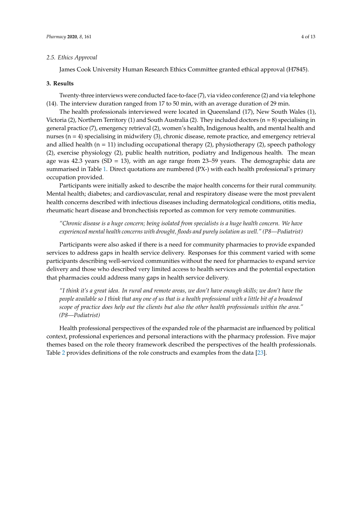#### *2.5. Ethics Approval*

James Cook University Human Research Ethics Committee granted ethical approval (H7845).

#### **3. Results**

Twenty-three interviews were conducted face-to-face (7), via video conference (2) and via telephone (14). The interview duration ranged from 17 to 50 min, with an average duration of 29 min.

The health professionals interviewed were located in Queensland (17), New South Wales (1), Victoria (2), Northern Territory (1) and South Australia (2). They included doctors ( $n = 8$ ) specialising in general practice (7), emergency retrieval (2), women's health, Indigenous health, and mental health and nurses (n = 4) specialising in midwifery (3), chronic disease, remote practice, and emergency retrieval and allied health ( $n = 11$ ) including occupational therapy (2), physiotherapy (2), speech pathology (2), exercise physiology (2), public health nutrition, podiatry and Indigenous health. The mean age was 42.3 years (SD = 13), with an age range from 23–59 years. The demographic data are summarised in Table [1.](#page-2-0) Direct quotations are numbered (PX-) with each health professional's primary occupation provided.

Participants were initially asked to describe the major health concerns for their rural community. Mental health; diabetes; and cardiovascular, renal and respiratory disease were the most prevalent health concerns described with infectious diseases including dermatological conditions, otitis media, rheumatic heart disease and bronchectisis reported as common for very remote communities.

*"Chronic disease is a huge concern; being isolated from specialists is a huge health concern. We have experienced mental health concerns with drought, floods and purely isolation as well." (P8—Podiatrist)*

Participants were also asked if there is a need for community pharmacies to provide expanded services to address gaps in health service delivery. Responses for this comment varied with some participants describing well-serviced communities without the need for pharmacies to expand service delivery and those who described very limited access to health services and the potential expectation that pharmacies could address many gaps in health service delivery.

*"I think it's a great idea. In rural and remote areas, we don't have enough skills; we don't have the people available so I think that any one of us that is a health professional with a little bit of a broadened scope of practice does help out the clients but also the other health professionals within the area." (P8—Podiatrist)*

Health professional perspectives of the expanded role of the pharmacist are influenced by political context, professional experiences and personal interactions with the pharmacy profession. Five major themes based on the role theory framework described the perspectives of the health professionals. Table [2](#page-4-0) provides definitions of the role constructs and examples from the data [\[23\]](#page-12-6).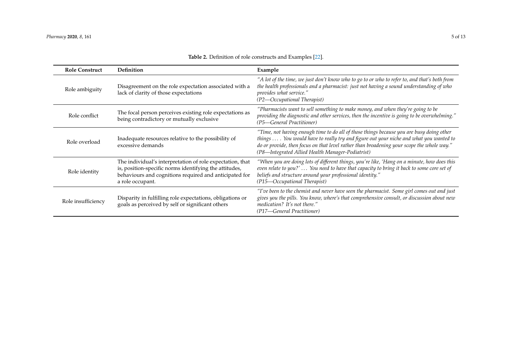<span id="page-4-0"></span>

| <b>Role Construct</b> | Definition                                                                                                                                                                                        | Example                                                                                                                                                                                                                                                                                                                            |
|-----------------------|---------------------------------------------------------------------------------------------------------------------------------------------------------------------------------------------------|------------------------------------------------------------------------------------------------------------------------------------------------------------------------------------------------------------------------------------------------------------------------------------------------------------------------------------|
| Role ambiguity        | Disagreement on the role expectation associated with a<br>lack of clarity of those expectations                                                                                                   | "A lot of the time, we just don't know who to go to or who to refer to, and that's both from<br>the health professionals and a pharmacist: just not having a sound understanding of who<br>provides what service."<br>(P2-Occupational Therapist)                                                                                  |
| Role conflict         | The focal person perceives existing role expectations as<br>being contradictory or mutually exclusive                                                                                             | "Pharmacists want to sell something to make money, and when they're going to be<br>providing the diagnostic and other services, then the incentive is going to be overwhelming."<br>(P5—General Practitioner)                                                                                                                      |
| Role overload         | Inadequate resources relative to the possibility of<br>excessive demands                                                                                                                          | "Time, not having enough time to do all of those things because you are busy doing other<br>things  You would have to really try and figure out your niche and what you wanted to<br>do or provide, then focus on that level rather than broadening your scope the whole way."<br>(P8-Integrated Allied Health Manager-Podiatrist) |
| Role identity         | The individual's interpretation of role expectation, that<br>is, position-specific norms identifying the attitudes,<br>behaviours and cognitions required and anticipated for<br>a role occupant. | "When you are doing lots of different things, you're like, 'Hang on a minute, how does this<br>even relate to you?' You need to have that capacity to bring it back to some core set of<br>beliefs and structure around your professional identity."<br>(P15-Occupational Therapist)                                               |
| Role insufficiency    | Disparity in fulfilling role expectations, obligations or<br>goals as perceived by self or significant others                                                                                     | "I've been to the chemist and never have seen the pharmacist. Some girl comes out and just<br>gives you the pills. You know, where's that comprehensive consult, or discussion about new<br>medication? It's not there."<br>(P17—General Practitioner)                                                                             |

**Table 2.** Definition of role constructs and Examples [\[22\]](#page-12-7).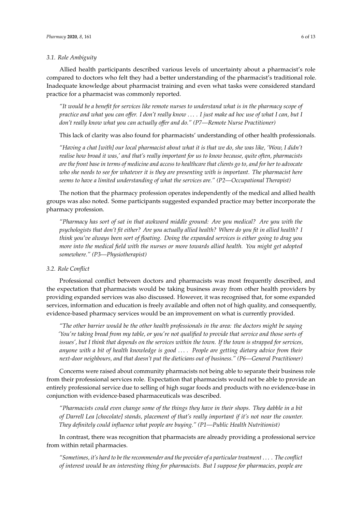#### *3.1. Role Ambiguity*

Allied health participants described various levels of uncertainty about a pharmacist's role compared to doctors who felt they had a better understanding of the pharmacist's traditional role. Inadequate knowledge about pharmacist training and even what tasks were considered standard practice for a pharmacist was commonly reported.

*"It would be a benefit for services like remote nurses to understand what is in the pharmacy scope of practice and what you can o*ff*er. I don't really know* . . . *. I just make ad hoc use of what I can, but I don't really know what you can actually o*ff*er and do." (P7—Remote Nurse Practitioner)*

This lack of clarity was also found for pharmacists' understanding of other health professionals.

*"Having a chat [with] our local pharmacist about what it is that we do, she was like, 'Wow, I didn't realise how broad it was,' and that's really important for us to know because, quite often, pharmacists are the front base in terms of medicine and access to healthcare that clients go to, and for her to advocate who she needs to see for whatever it is they are presenting with is important. The pharmacist here seems to have a limited understanding of what the services are." (P2—Occupational Therapist)*

The notion that the pharmacy profession operates independently of the medical and allied health groups was also noted. Some participants suggested expanded practice may better incorporate the pharmacy profession.

*"Pharmacy has sort of sat in that awkward middle ground: Are you medical? Are you with the psychologists that don't fit either? Are you actually allied health? Where do you fit in allied health? I think you've always been sort of floating. Doing the expanded services is either going to drag you more into the medical field with the nurses or more towards allied health. You might get adopted somewhere." (P3—Physiotherapist)*

# *3.2. Role Conflict*

Professional conflict between doctors and pharmacists was most frequently described, and the expectation that pharmacists would be taking business away from other health providers by providing expanded services was also discussed. However, it was recognised that, for some expanded services, information and education is freely available and often not of high quality, and consequently, evidence-based pharmacy services would be an improvement on what is currently provided.

*"The other barrier would be the other health professionals in the area: the doctors might be saying 'You're taking bread from my table, or you're not qualified to provide that service and those sorts of issues', but I think that depends on the services within the town. If the town is strapped for services, anyone with a bit of health knowledge is good* . . . *. People are getting dietary advice from their next-door neighbours, and that doesn't put the dieticians out of business." (P6—General Practitioner)*

Concerns were raised about community pharmacists not being able to separate their business role from their professional services role. Expectation that pharmacists would not be able to provide an entirely professional service due to selling of high sugar foods and products with no evidence-base in conjunction with evidence-based pharmaceuticals was described.

*"Pharmacists could even change some of the things they have in their shops. They dabble in a bit of Darrell Lea [chocolate] stands, placement of that's really important if it's not near the counter. They definitely could influence what people are buying." (P1—Public Health Nutritionist)*

In contrast, there was recognition that pharmacists are already providing a professional service from within retail pharmacies.

*"Sometimes, it's hard to be the recommender and the provider of a particular treatment* . . . *. The conflict of interest would be an interesting thing for pharmacists. But I suppose for pharmacies, people are*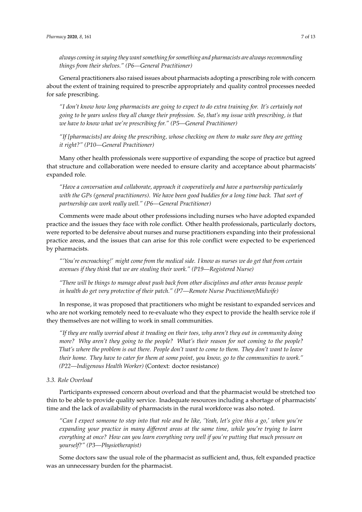*always coming in saying they want something for something and pharmacists are always recommending things from their shelves." (P6—General Practitioner)*

General practitioners also raised issues about pharmacists adopting a prescribing role with concern about the extent of training required to prescribe appropriately and quality control processes needed for safe prescribing.

*"I don't know how long pharmacists are going to expect to do extra training for. It's certainly not going to be years unless they all change their profession. So, that's my issue with prescribing, is that we have to know what we're prescribing for." (P5—General Practitioner)*

*"If [pharmacists] are doing the prescribing, whose checking on them to make sure they are getting it right?" (P10—General Practitioner)*

Many other health professionals were supportive of expanding the scope of practice but agreed that structure and collaboration were needed to ensure clarity and acceptance about pharmacists' expanded role.

*"Have a conversation and collaborate, approach it cooperatively and have a partnership particularly with the GPs (general practitioners). We have been good buddies for a long time back. That sort of partnership can work really well." (P6—General Practitioner)*

Comments were made about other professions including nurses who have adopted expanded practice and the issues they face with role conflict. Other health professionals, particularly doctors, were reported to be defensive about nurses and nurse practitioners expanding into their professional practice areas, and the issues that can arise for this role conflict were expected to be experienced by pharmacists.

*"'You're encroaching!' might come from the medical side. I know as nurses we do get that from certain avenues if they think that we are stealing their work." (P19—Registered Nurse)*

*"There will be things to manage about push back from other disciplines and other areas because people in health do get very protective of their patch." (P7—Remote Nurse Practitioner*/*Midwife)*

In response, it was proposed that practitioners who might be resistant to expanded services and who are not working remotely need to re-evaluate who they expect to provide the health service role if they themselves are not willing to work in small communities.

*"If they are really worried about it treading on their toes, why aren't they out in community doing more? Why aren't they going to the people? What's their reason for not coming to the people? That's where the problem is out there. People don't want to come to them. They don't want to leave their home. They have to cater for them at some point, you know, go to the communities to work." (P22—Indigenous Health Worker)* (Context: doctor resistance)

## *3.3. Role Overload*

Participants expressed concern about overload and that the pharmacist would be stretched too thin to be able to provide quality service. Inadequate resources including a shortage of pharmacists' time and the lack of availability of pharmacists in the rural workforce was also noted.

*"Can I expect someone to step into that role and be like, 'Yeah, let's give this a go,' when you're expanding your practice in many di*ff*erent areas at the same time, while you're trying to learn everything at once? How can you learn everything very well if you're putting that much pressure on yourself?" (P3—Physiotherapist)*

Some doctors saw the usual role of the pharmacist as sufficient and, thus, felt expanded practice was an unnecessary burden for the pharmacist.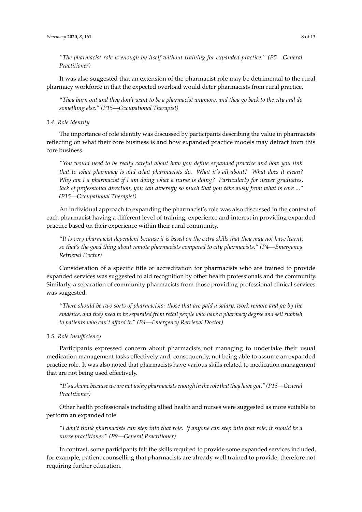*"The pharmacist role is enough by itself without training for expanded practice." (P5—General Practitioner)*

It was also suggested that an extension of the pharmacist role may be detrimental to the rural pharmacy workforce in that the expected overload would deter pharmacists from rural practice.

*"They burn out and they don't want to be a pharmacist anymore, and they go back to the city and do something else." (P15—Occupational Therapist)*

#### *3.4. Role Identity*

The importance of role identity was discussed by participants describing the value in pharmacists reflecting on what their core business is and how expanded practice models may detract from this core business.

*"You would need to be really careful about how you define expanded practice and how you link that to what pharmacy is and what pharmacists do. What it's all about? What does it mean? Why am I a pharmacist if I am doing what a nurse is doing? Particularly for newer graduates, lack of professional direction, you can diversify so much that you take away from what is core ..." (P15—Occupational Therapist)*

An individual approach to expanding the pharmacist's role was also discussed in the context of each pharmacist having a different level of training, experience and interest in providing expanded practice based on their experience within their rural community.

*"It is very pharmacist dependent because it is based on the extra skills that they may not have learnt, so that's the good thing about remote pharmacists compared to city pharmacists." (P4—Emergency Retrieval Doctor)*

Consideration of a specific title or accreditation for pharmacists who are trained to provide expanded services was suggested to aid recognition by other health professionals and the community. Similarly, a separation of community pharmacists from those providing professional clinical services was suggested.

*"There should be two sorts of pharmacists: those that are paid a salary, work remote and go by the evidence, and they need to be separated from retail people who have a pharmacy degree and sell rubbish to patients who can't a*ff*ord it." (P4—Emergency Retrieval Doctor)*

#### *3.5. Role Insu*ffi*ciency*

Participants expressed concern about pharmacists not managing to undertake their usual medication management tasks effectively and, consequently, not being able to assume an expanded practice role. It was also noted that pharmacists have various skills related to medication management that are not being used effectively.

*"It's a shame because we are not using pharmacists enough in the role that they have got." (P13—General Practitioner)*

Other health professionals including allied health and nurses were suggested as more suitable to perform an expanded role.

*"I don't think pharmacists can step into that role. If anyone can step into that role, it should be a nurse practitioner." (P9—General Practitioner)*

In contrast, some participants felt the skills required to provide some expanded services included, for example, patient counselling that pharmacists are already well trained to provide, therefore not requiring further education.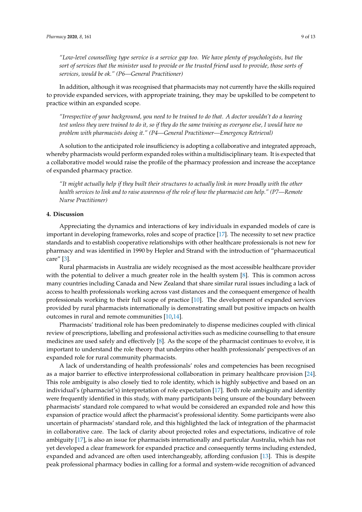In addition, although it was recognised that pharmacists may not currently have the skills required to provide expanded services, with appropriate training, they may be upskilled to be competent to practice within an expanded scope.

*"Irrespective of your background, you need to be trained to do that. A doctor wouldn't do a hearing test unless they were trained to do it, so if they do the same training as everyone else, I would have no problem with pharmacists doing it." (P4—General Practitioner—Emergency Retrieval)*

A solution to the anticipated role insufficiency is adopting a collaborative and integrated approach, whereby pharmacists would perform expanded roles within a multidisciplinary team. It is expected that a collaborative model would raise the profile of the pharmacy profession and increase the acceptance of expanded pharmacy practice.

*"It might actually help if they built their structures to actually link in more broadly with the other health services to link and to raise awareness of the role of how the pharmacist can help." (P7—Remote Nurse Practitioner)*

#### **4. Discussion**

Appreciating the dynamics and interactions of key individuals in expanded models of care is important in developing frameworks, roles and scope of practice [\[17\]](#page-12-0). The necessity to set new practice standards and to establish cooperative relationships with other healthcare professionals is not new for pharmacy and was identified in 1990 by Hepler and Strand with the introduction of "pharmaceutical care" [\[3\]](#page-11-2).

Rural pharmacists in Australia are widely recognised as the most accessible healthcare provider with the potential to deliver a much greater role in the health system [\[8\]](#page-11-7). This is common across many countries including Canada and New Zealand that share similar rural issues including a lack of access to health professionals working across vast distances and the consequent emergence of health professionals working to their full scope of practice [\[10\]](#page-11-9). The development of expanded services provided by rural pharmacists internationally is demonstrating small but positive impacts on health outcomes in rural and remote communities [\[10](#page-11-9)[,14\]](#page-11-10).

Pharmacists' traditional role has been predominately to dispense medicines coupled with clinical review of prescriptions, labelling and professional activities such as medicine counselling to that ensure medicines are used safely and effectively [\[8\]](#page-11-7). As the scope of the pharmacist continues to evolve, it is important to understand the role theory that underpins other health professionals' perspectives of an expanded role for rural community pharmacists.

A lack of understanding of health professionals' roles and competencies has been recognised as a major barrier to effective interprofessional collaboration in primary healthcare provision [\[24\]](#page-12-8). This role ambiguity is also closely tied to role identity, which is highly subjective and based on an individual's (pharmacist's) interpretation of role expectation [\[17\]](#page-12-0). Both role ambiguity and identity were frequently identified in this study, with many participants being unsure of the boundary between pharmacists' standard role compared to what would be considered an expanded role and how this expansion of practice would affect the pharmacist's professional identity. Some participants were also uncertain of pharmacists' standard role, and this highlighted the lack of integration of the pharmacist in collaborative care. The lack of clarity about projected roles and expectations, indicative of role ambiguity [\[17\]](#page-12-0), is also an issue for pharmacists internationally and particular Australia, which has not yet developed a clear framework for expanded practice and consequently terms including extended, expanded and advanced are often used interchangeably, affording confusion [\[13\]](#page-11-11). This is despite peak professional pharmacy bodies in calling for a formal and system-wide recognition of advanced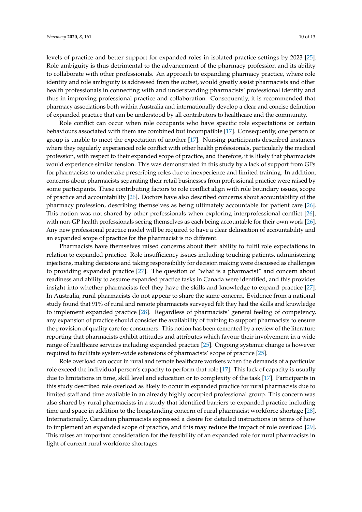levels of practice and better support for expanded roles in isolated practice settings by 2023 [\[25\]](#page-12-9). Role ambiguity is thus detrimental to the advancement of the pharmacy profession and its ability to collaborate with other professionals. An approach to expanding pharmacy practice, where role identity and role ambiguity is addressed from the outset, would greatly assist pharmacists and other health professionals in connecting with and understanding pharmacists' professional identity and thus in improving professional practice and collaboration. Consequently, it is recommended that pharmacy associations both within Australia and internationally develop a clear and concise definition of expanded practice that can be understood by all contributors to healthcare and the community.

Role conflict can occur when role occupants who have specific role expectations or certain behaviours associated with them are combined but incompatible [\[17\]](#page-12-0). Consequently, one person or group is unable to meet the expectation of another [\[17\]](#page-12-0). Nursing participants described instances where they regularly experienced role conflict with other health professionals, particularly the medical profession, with respect to their expanded scope of practice, and therefore, it is likely that pharmacists would experience similar tension. This was demonstrated in this study by a lack of support from GPs for pharmacists to undertake prescribing roles due to inexperience and limited training. In addition, concerns about pharmacists separating their retail businesses from professional practice were raised by some participants. These contributing factors to role conflict align with role boundary issues, scope of practice and accountability [\[26\]](#page-12-10). Doctors have also described concerns about accountability of the pharmacy profession, describing themselves as being ultimately accountable for patient care [\[26\]](#page-12-10). This notion was not shared by other professionals when exploring interprofessional conflict [\[26\]](#page-12-10), with non-GP health professionals seeing themselves as each being accountable for their own work [\[26\]](#page-12-10). Any new professional practice model will be required to have a clear delineation of accountability and an expanded scope of practice for the pharmacist is no different.

Pharmacists have themselves raised concerns about their ability to fulfil role expectations in relation to expanded practice. Role insufficiency issues including touching patients, administering injections, making decisions and taking responsibility for decision making were discussed as challenges to providing expanded practice [\[27\]](#page-12-11). The question of "what is a pharmacist" and concern about readiness and ability to assume expanded practice tasks in Canada were identified, and this provides insight into whether pharmacists feel they have the skills and knowledge to expand practice [\[27\]](#page-12-11). In Australia, rural pharmacists do not appear to share the same concern. Evidence from a national study found that 91% of rural and remote pharmacists surveyed felt they had the skills and knowledge to implement expanded practice [\[28\]](#page-12-12). Regardless of pharmacists' general feeling of competency, any expansion of practice should consider the availability of training to support pharmacists to ensure the provision of quality care for consumers. This notion has been cemented by a review of the literature reporting that pharmacists exhibit attitudes and attributes which favour their involvement in a wide range of healthcare services including expanded practice [\[25\]](#page-12-9). Ongoing systemic change is however required to facilitate system-wide extensions of pharmacists' scope of practice [\[25\]](#page-12-9).

Role overload can occur in rural and remote healthcare workers when the demands of a particular role exceed the individual person's capacity to perform that role [\[17\]](#page-12-0). This lack of capacity is usually due to limitations in time, skill level and education or to complexity of the task [\[17\]](#page-12-0). Participants in this study described role overload as likely to occur in expanded practice for rural pharmacists due to limited staff and time available in an already highly occupied professional group. This concern was also shared by rural pharmacists in a study that identified barriers to expanded practice including time and space in addition to the longstanding concern of rural pharmacist workforce shortage [\[28\]](#page-12-12). Internationally, Canadian pharmacists expressed a desire for detailed instructions in terms of how to implement an expanded scope of practice, and this may reduce the impact of role overload [\[29\]](#page-12-13). This raises an important consideration for the feasibility of an expanded role for rural pharmacists in light of current rural workforce shortages.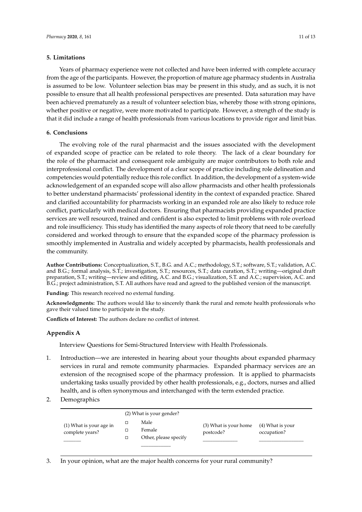### **5. Limitations**

Years of pharmacy experience were not collected and have been inferred with complete accuracy from the age of the participants. However, the proportion of mature age pharmacy students in Australia is assumed to be low. Volunteer selection bias may be present in this study, and as such, it is not possible to ensure that all health professional perspectives are presented. Data saturation may have been achieved prematurely as a result of volunteer selection bias, whereby those with strong opinions, whether positive or negative, were more motivated to participate. However, a strength of the study is that it did include a range of health professionals from various locations to provide rigor and limit bias.

## **6. Conclusions**

The evolving role of the rural pharmacist and the issues associated with the development of expanded scope of practice can be related to role theory. The lack of a clear boundary for the role of the pharmacist and consequent role ambiguity are major contributors to both role and interprofessional conflict. The development of a clear scope of practice including role delineation and competencies would potentially reduce this role conflict. In addition, the development of a system-wide acknowledgement of an expanded scope will also allow pharmacists and other health professionals to better understand pharmacists' professional identity in the context of expanded practice. Shared and clarified accountability for pharmacists working in an expanded role are also likely to reduce role conflict, particularly with medical doctors. Ensuring that pharmacists providing expanded practice services are well resourced, trained and confident is also expected to limit problems with role overload and role insufficiency. This study has identified the many aspects of role theory that need to be carefully considered and worked through to ensure that the expanded scope of the pharmacy profession is smoothly implemented in Australia and widely accepted by pharmacists, health professionals and the community.

**Author Contributions:** Conceptualization, S.T., B.G. and A.C.; methodology, S.T.; software, S.T.; validation, A.C. and B.G.; formal analysis, S.T.; investigation, S.T.; resources, S.T.; data curation, S.T.; writing—original draft preparation, S.T.; writing—review and editing, A.C. and B.G.; visualization, S.T. and A.C.; supervision, A.C. and B.G.; project administration, S.T. All authors have read and agreed to the published version of the manuscript.

**Funding:** This research received no external funding.

**Acknowledgments:** The authors would like to sincerely thank the rural and remote health professionals who gave their valued time to participate in the study.

**Conflicts of Interest:** The authors declare no conflict of interest.

#### <span id="page-10-0"></span>**Appendix A**

Interview Questions for Semi-Structured Interview with Health Professionals.

- 1. Introduction—we are interested in hearing about your thoughts about expanded pharmacy services in rural and remote community pharmacies. Expanded pharmacy services are an extension of the recognised scope of the pharmacy profession. It is applied to pharmacists undertaking tasks usually provided by other health professionals, e.g., doctors, nurses and allied health, and is often synonymous and interchanged with the term extended practice.
- 2. Demographics

|                                            | (2) What is your gender? |                       |                                    |                                 |
|--------------------------------------------|--------------------------|-----------------------|------------------------------------|---------------------------------|
| (1) What is your age in<br>complete years? |                          | Male                  | (3) What is your home<br>postcode? | (4) What is your<br>occupation? |
|                                            |                          | Female                |                                    |                                 |
|                                            |                          | Other, please specify |                                    |                                 |
|                                            |                          |                       |                                    |                                 |

3. In your opinion, what are the major health concerns for your rural community?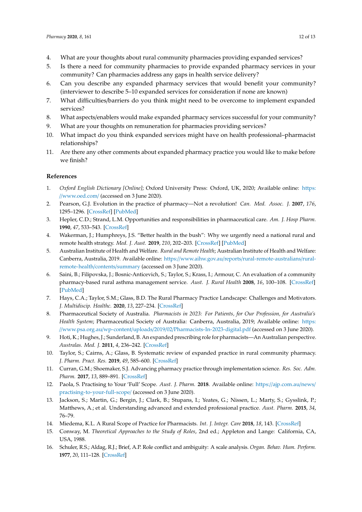- 4. What are your thoughts about rural community pharmacies providing expanded services?
- 5. Is there a need for community pharmacies to provide expanded pharmacy services in your community? Can pharmacies address any gaps in health service delivery?
- 6. Can you describe any expanded pharmacy services that would benefit your community? (interviewer to describe 5–10 expanded services for consideration if none are known)
- 7. What difficulties/barriers do you think might need to be overcome to implement expanded services?
- 8. What aspects/enablers would make expanded pharmacy services successful for your community?
- 9. What are your thoughts on remuneration for pharmacies providing services?
- 10. What impact do you think expanded services might have on health professional–pharmacist relationships?
- 11. Are there any other comments about expanded pharmacy practice you would like to make before we finish?

# **References**

- <span id="page-11-0"></span>1. *Oxford English Dictionary [Online]*; Oxford University Press: Oxford, UK, 2020; Available online: [https:](https://www.oed.com/) //[www.oed.com](https://www.oed.com/)/ (accessed on 3 June 2020).
- <span id="page-11-1"></span>2. Pearson, G.J. Evolution in the practice of pharmacy—Not a revolution! *Can. Med. Assoc. J.* **2007**, *176*, 1295–1296. [\[CrossRef\]](http://dx.doi.org/10.1503/cmaj.070041) [\[PubMed\]](http://www.ncbi.nlm.nih.gov/pubmed/17452664)
- <span id="page-11-2"></span>3. Hepler, C.D.; Strand, L.M. Opportunities and responsibilities in pharmaceutical care. *Am. J. Hosp Pharm.* **1990**, *47*, 533–543. [\[CrossRef\]](http://dx.doi.org/10.1093/ajhp/47.3.533)
- <span id="page-11-3"></span>4. Wakerman, J.; Humphreys, J.S. "Better health in the bush": Why we urgently need a national rural and remote health strategy. *Med. J. Aust.* **2019**, *210*, 202–203. [\[CrossRef\]](http://dx.doi.org/10.5694/mja2.50041) [\[PubMed\]](http://www.ncbi.nlm.nih.gov/pubmed/30801723)
- <span id="page-11-4"></span>5. Australian Institute of Health and Welfare. *Rural and Remote Health*; Australian Institute of Health and Welfare: Canberra, Australia, 2019. Available online: https://www.aihw.gov.au/reports/[rural-remote-australians](https://www.aihw.gov.au/reports/rural-remote-australians/rural-remote-health/contents/summary)/rural[remote-health](https://www.aihw.gov.au/reports/rural-remote-australians/rural-remote-health/contents/summary)/contents/summary (accessed on 3 June 2020).
- <span id="page-11-5"></span>6. Saini, B.; Filipovska, J.; Bosnic-Anticevich, S.; Taylor, S.; Krass, I.; Armour, C. An evaluation of a community pharmacy-based rural asthma management service. *Aust. J. Rural Health* **2008**, *16*, 100–108. [\[CrossRef\]](http://dx.doi.org/10.1111/j.1440-1584.2008.00975.x) [\[PubMed\]](http://www.ncbi.nlm.nih.gov/pubmed/18318852)
- <span id="page-11-6"></span>7. Hays, C.A.; Taylor, S.M.; Glass, B.D. The Rural Pharmacy Practice Landscape: Challenges and Motivators. *J. Multidiscip. Healthc.* **2020**, *13*, 227–234. [\[CrossRef\]](http://dx.doi.org/10.2147/JMDH.S236488)
- <span id="page-11-7"></span>8. Pharmaceutical Society of Australia. *Pharmacists in 2023: For Patients, for Our Profession, for Australia's Health System*; Pharmaceutical Society of Australia: Canberra, Australia, 2019; Available online: [https:](https://www.psa.org.au/wp-content/uploads/2019/02/Pharmacists-In-2023-digital.pdf) //www.psa.org.au/wp-content/uploads/2019/02/[Pharmacists-In-2023-digital.pdf](https://www.psa.org.au/wp-content/uploads/2019/02/Pharmacists-In-2023-digital.pdf) (accessed on 3 June 2020).
- <span id="page-11-8"></span>9. Hoti, K.; Hughes, J.; Sunderland, B. An expanded prescribing role for pharmacists—An Australian perspective. *Australas. Med. J.* **2011**, *4*, 236–242. [\[CrossRef\]](http://dx.doi.org/10.4066/AMJ.2011.694)
- <span id="page-11-9"></span>10. Taylor, S.; Cairns, A.; Glass, B. Systematic review of expanded practice in rural community pharmacy. *J. Pharm. Pract. Res.* **2019**, *49*, 585–600. [\[CrossRef\]](http://dx.doi.org/10.1002/jppr.1619)
- 11. Curran, G.M.; Shoemaker, S.J. Advancing pharmacy practice through implementation science. *Res. Soc. Adm. Pharm.* **2017**, *13*, 889–891. [\[CrossRef\]](http://dx.doi.org/10.1016/j.sapharm.2017.05.018)
- 12. Paola, S. Practising to Your 'Full' Scope. *Aust. J. Pharm.* **2018**. Available online: https://[ajp.com.au](https://ajp.com.au/news/practising-to-your-full-scope/)/news/ [practising-to-your-full-scope](https://ajp.com.au/news/practising-to-your-full-scope/)/ (accessed on 3 June 2020).
- <span id="page-11-11"></span>13. Jackson, S.; Martin, G.; Bergin, J.; Clark, B.; Stupans, I.; Yeates, G.; Nissen, L.; Marty, S.; Gysslink, P.; Matthews, A.; et al. Understanding advanced and extended professional practice. *Aust. Pharm.* **2015**, *34*, 76–79.
- <span id="page-11-10"></span>14. Miedema, K.L. A Rural Scope of Practice for Pharmacists. *Int. J. Integr. Care* **2018**, *18*, 143. [\[CrossRef\]](http://dx.doi.org/10.5334/ijic.s1143)
- <span id="page-11-12"></span>15. Conway, M. *Theoretical Approaches to the Study of Roles*, 2nd ed.; Appleton and Lange: California, CA, USA, 1988.
- <span id="page-11-13"></span>16. Schuler, R.S.; Aldag, R.J.; Brief, A.P. Role conflict and ambiguity: A scale analysis. *Organ. Behav. Hum. Perform.* **1977**, *20*, 111–128. [\[CrossRef\]](http://dx.doi.org/10.1016/0030-5073(77)90047-2)